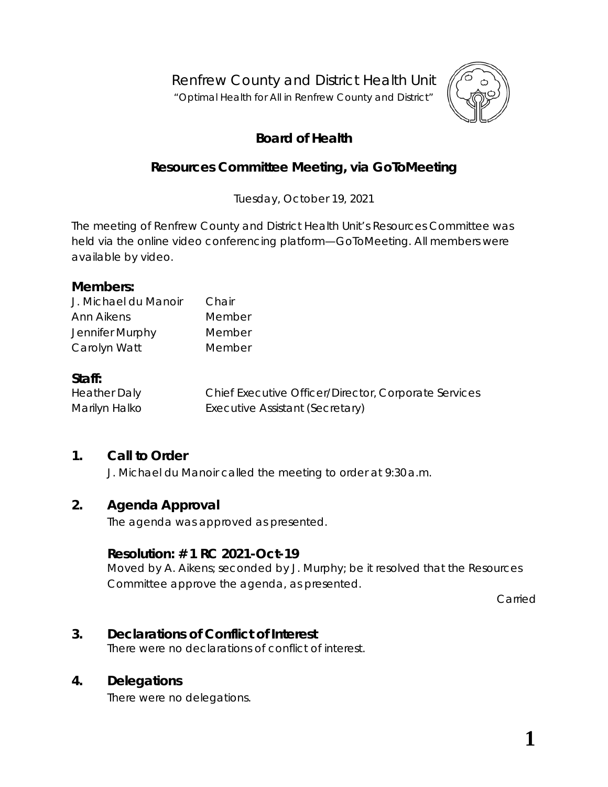Renfrew County and District Health Unit

"*Optimal Health for All in Renfrew County and District"*



# **Board of Health**

# **Resources Committee Meeting, via** *GoToMeeting*

Tuesday, October 19, 2021

The meeting of Renfrew County and District Health Unit's Resources Committee was held via the online video conferencing platform—*GoToMeeting*. All members were available by video.

#### **Members:**

| J. Michael du Manoir | Chair  |
|----------------------|--------|
| Ann Aikens           | Member |
| Jennifer Murphy      | Member |
| Carolyn Watt         | Member |

#### **Staff:**

Heather Daly Chief Executive Officer/Director, Corporate Services Marilyn Halko **Executive Assistant (Secretary)** 

### **1. Call to Order**

J. Michael du Manoir called the meeting to order at 9:30 a.m.

#### **2. Agenda Approval**

The agenda was approved as presented.

### **Resolution: # 1 RC 2021-Oct-19**

Moved by A. Aikens; seconded by J. Murphy; be it resolved that the Resources Committee approve the agenda, as presented.

Carried

# **3. Declarations of Conflict of Interest**

There were no declarations of conflict of interest.

### **4. Delegations**

There were no delegations.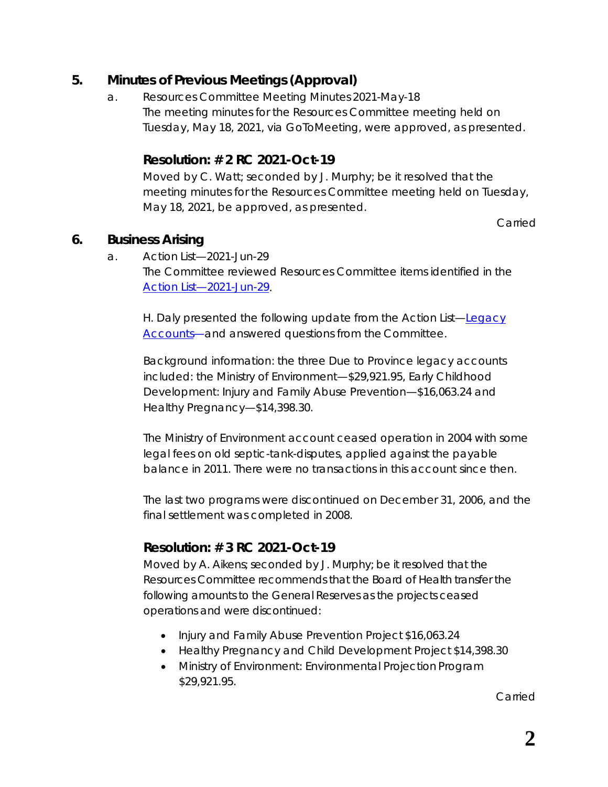## **5. Minutes of Previous Meetings (Approval)**

a. Resources Committee Meeting Minutes 2021-May-18 The meeting minutes for the Resources Committee meeting held on Tuesday, May 18, 2021, via *GoToMeeting*, were approved, as presented.

## **Resolution: # 2 RC 2021-Oct-19**

Moved by C. Watt; seconded by J. Murphy; be it resolved that the meeting minutes for the Resources Committee meeting held on Tuesday, May 18, 2021, be approved, as presented.

Carried

## **6. Business Arising**

a. Action List—2021-Jun-29 The Committee reviewed Resources Committee items identified in the *[Action List—2021-Jun-29](https://www.rcdhu.com/wp-content/uploads/2021/11/06.-a.-Action-List-Regular-Board-Meeting-2021-Jun-29-1.pdf)*.

H. Daly presented the following update from the Action List—*[Legacy](https://www.rcdhu.com/wp-content/uploads/2021/11/06.-a.-i.-Legacy-Accounts.pdf)  [Accounts](https://www.rcdhu.com/wp-content/uploads/2021/11/06.-a.-i.-Legacy-Accounts.pdf)*—and answered questions from the Committee.

Background information: the three *Due to Province* legacy accounts included: the Ministry of Environment—\$29,921.95, Early Childhood Development: Injury and Family Abuse Prevention—\$16,063.24 and Healthy Pregnancy—\$14,398.30.

The Ministry of Environment account ceased operation in 2004 with some legal fees on old septic-tank-disputes, applied against the payable balance in 2011. There were no transactions in this account since then.

The last two programs were discontinued on December 31, 2006, and the final settlement was completed in 2008.

# **Resolution: # 3 RC 2021-Oct-19**

Moved by A. Aikens; seconded by J. Murphy; be it resolved that the Resources Committee recommends that the Board of Health transfer the following amounts to the General Reserves as the projects ceased operations and were discontinued:

- Injury and Family Abuse Prevention Project \$16,063.24
- Healthy Pregnancy and Child Development Project \$14,398.30
- Ministry of Environment: Environmental Projection Program \$29,921.95.

Carried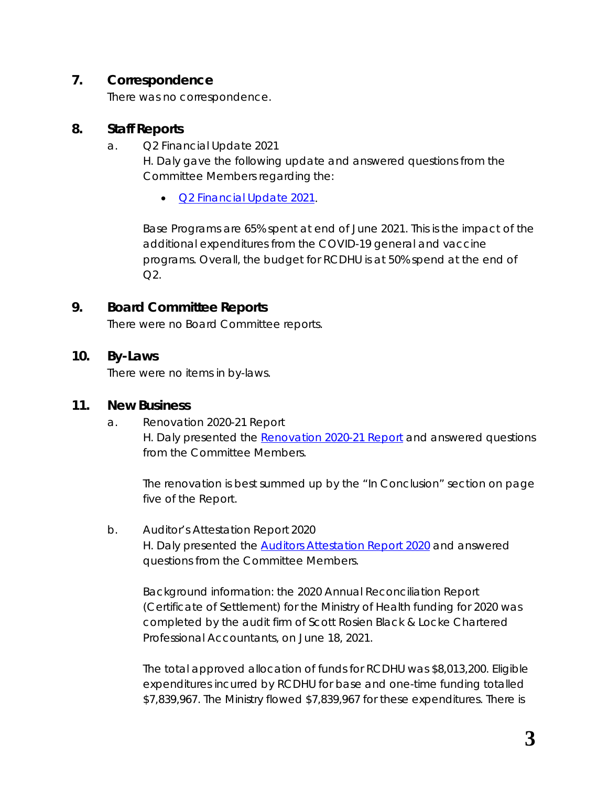## **7. Correspondence**

There was no correspondence.

#### **8. Staff Reports**

a. Q2 Financial Update 2021

H. Daly gave the following update and answered questions from the Committee Members regarding the:

• *[Q2 Financial Update](https://www.rcdhu.com/wp-content/uploads/2021/11/08.-a.-Q2-Financial-Update-2021.pdf) 2021*.

Base Programs are 65% spent at end of June 2021. This is the impact of the additional expenditures from the COVID-19 general and vaccine programs. Overall, the budget for RCDHU is at 50% spend at the end of  $O2.$ 

## **9. Board Committee Reports**

There were no Board Committee reports.

#### **10. By-Laws**

There were no items in by-laws.

#### **11. New Business**

a. Renovation 2020-21 Report H. Daly presented the *[Renovation 2020-21 Report](https://www.rcdhu.com/wp-content/uploads/2021/11/11.-a.-Renovation-2020-21-Report.pdf)* and answered questions from the Committee Members.

The renovation is best summed up by the "In Conclusion" section on page five of the *Report*.

#### b. Auditor's Attestation Report 2020 H. Daly presented the *[Auditors Attestation Report 2020](https://www.rcdhu.com/wp-content/uploads/2021/11/11.-b.-Auditors-Attestation-Report-2020.pdf)* and answered questions from the Committee Members.

Background information: the 2020 Annual Reconciliation Report (Certificate of Settlement) for the Ministry of Health funding for 2020 was completed by the audit firm of Scott Rosien Black & Locke Chartered Professional Accountants, on June 18, 2021.

The total approved allocation of funds for RCDHU was \$8,013,200. Eligible expenditures incurred by RCDHU for base and one-time funding totalled \$7,839,967. The Ministry flowed \$7,839,967 for these expenditures. There is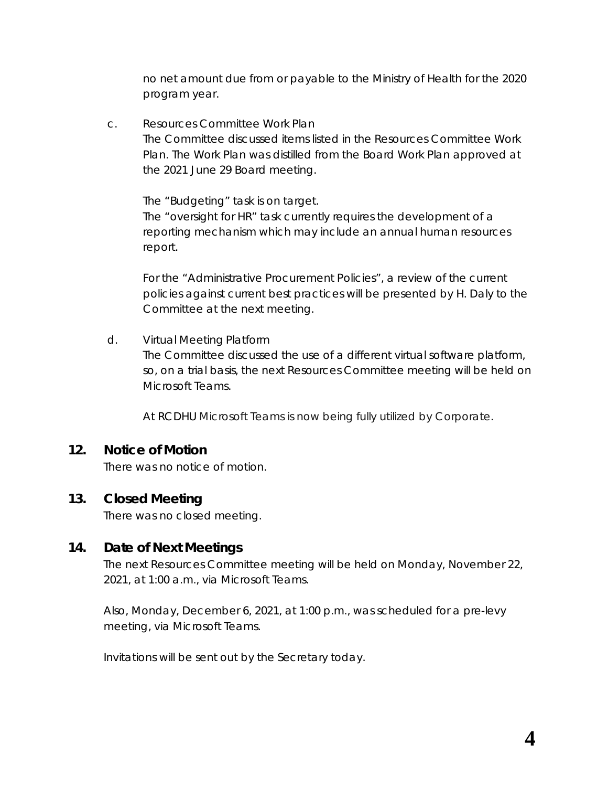no net amount due from or payable to the Ministry of Health for the 2020 program year.

c. Resources Committee Work Plan The Committee discussed items listed in the [Resources Committee Work](https://portal.rcdhu.com/board/wp-content/uploads/2021/10/11.-c.-Resources-Committee-Work-Plan.pdf) [Plan.](https://portal.rcdhu.com/board/wp-content/uploads/2021/10/11.-c.-Resources-Committee-Work-Plan.pdf) The Work Plan was distilled from the Board Work Plan approved at the 2021 June 29 Board meeting.

The "Budgeting" task is on target. The "oversight for HR" task currently requires the development of a reporting mechanism which may include an annual human resources report.

For the "Administrative Procurement Policies", a review of the current policies against current best practices will be presented by H. Daly to the Committee at the next meeting.

d. Virtual Meeting Platform The Committee discussed the use of a different virtual software platform, so, on a trial basis, the next Resources Committee meeting will be held on *Microsoft Teams*.

At RCDHU *Microsoft Teams* is now being fully utilized by Corporate.

### **12. Notice of Motion**

There was no notice of motion.

### **13. Closed Meeting**

There was no closed meeting.

### **14. Date of Next Meetings**

The next Resources Committee meeting will be held on Monday, November 22, 2021, at 1:00 a.m., via *Microsoft Teams.*

Also, Monday, December 6, 2021, at 1:00 p.m., was scheduled for a pre-levy meeting, via *Microsoft Teams*.

Invitations will be sent out by the Secretary today.